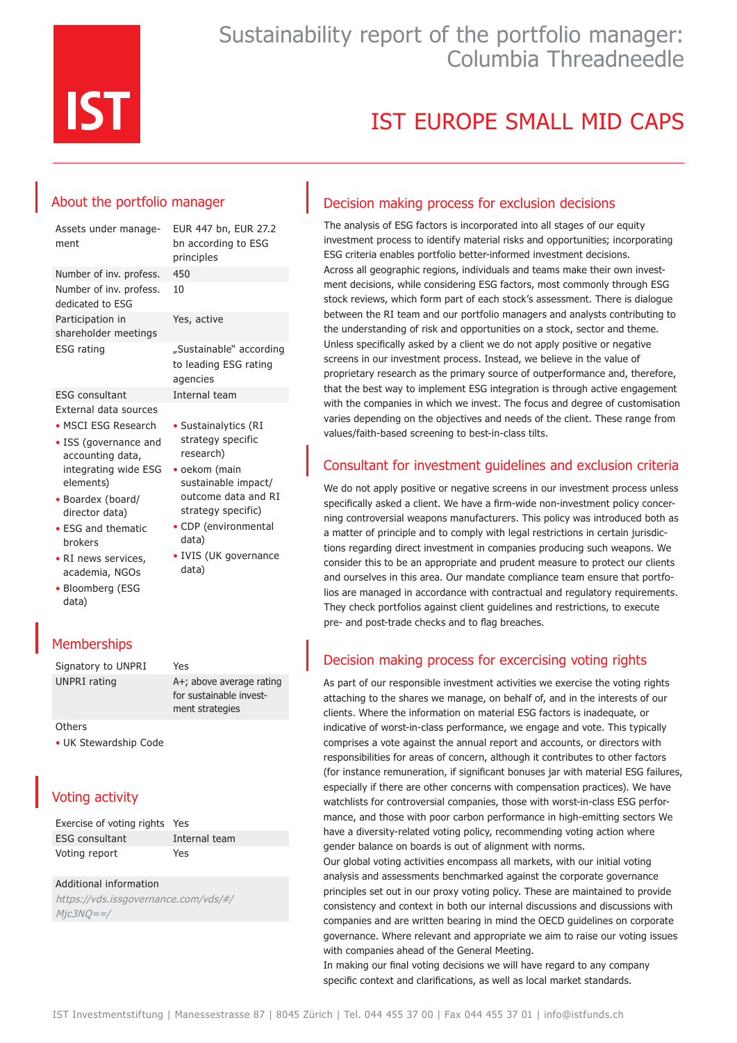

## Sustainability report of the portfolio manager: Columbia Threadneedle

# IST EUROPE SMALL MID CAPS

### About the portfolio manager

| Assets under manage-<br>ment                                     | EUR 447 bn, EUR 27.2<br>bn according to ESG<br>principles    |
|------------------------------------------------------------------|--------------------------------------------------------------|
| Number of inv. profess.                                          | 450                                                          |
| Number of inv. profess.<br>dedicated to ESG                      | 10                                                           |
| Participation in<br>shareholder meetings                         | Yes, active                                                  |
| ESG rating                                                       | "Sustainable" according<br>to leading ESG rating<br>agencies |
| <b>ESG</b> consultant                                            | Internal team                                                |
| External data sources                                            |                                                              |
| • MSCI ESG Research<br>• ISS (governance and<br>accounting data, | • Sustainalytics (RI<br>strategy specific<br>research)       |

sustainable impact/ outcome data and RI strategy specific) • CDP (environmental

• IVIS (UK governance

data)

data)

ment strategies

- integrating wide ESG oekom (main elements) • Boardex (board/
- director data) • ESG and thematic
- brokers
- RI news services, academia, NGOs
- Bloomberg (ESG data)

### **Memberships**

Signatory to UNPRI Yes UNPRI rating A+; above average rating for sustainable invest-

**Others** 

• UK Stewardship Code

### Voting activity

| Exercise of voting rights Yes |               |
|-------------------------------|---------------|
| ESG consultant                | Internal team |
| Voting report                 | Yes           |

#### Additional information

https://vds.issgovernance.com/vds/#/ Mjc3NQ==/

### Decision making process for exclusion decisions

The analysis of ESG factors is incorporated into all stages of our equity investment process to identify material risks and opportunities; incorporating ESG criteria enables portfolio better-informed investment decisions. Across all geographic regions, individuals and teams make their own investment decisions, while considering ESG factors, most commonly through ESG stock reviews, which form part of each stock's assessment. There is dialogue between the RI team and our portfolio managers and analysts contributing to the understanding of risk and opportunities on a stock, sector and theme. Unless specifically asked by a client we do not apply positive or negative screens in our investment process. Instead, we believe in the value of proprietary research as the primary source of outperformance and, therefore, that the best way to implement ESG integration is through active engagement with the companies in which we invest. The focus and degree of customisation varies depending on the objectives and needs of the client. These range from values/faith-based screening to best-in-class tilts.

### Consultant for investment guidelines and exclusion criteria

We do not apply positive or negative screens in our investment process unless specifically asked a client. We have a firm-wide non-investment policy concerning controversial weapons manufacturers. This policy was introduced both as a matter of principle and to comply with legal restrictions in certain jurisdictions regarding direct investment in companies producing such weapons. We consider this to be an appropriate and prudent measure to protect our clients and ourselves in this area. Our mandate compliance team ensure that portfolios are managed in accordance with contractual and regulatory requirements. They check portfolios against client guidelines and restrictions, to execute pre- and post-trade checks and to flag breaches.

### Decision making process for excercising voting rights

As part of our responsible investment activities we exercise the voting rights attaching to the shares we manage, on behalf of, and in the interests of our clients. Where the information on material ESG factors is inadequate, or indicative of worst-in-class performance, we engage and vote. This typically comprises a vote against the annual report and accounts, or directors with responsibilities for areas of concern, although it contributes to other factors (for instance remuneration, if significant bonuses jar with material ESG failures, especially if there are other concerns with compensation practices). We have watchlists for controversial companies, those with worst-in-class ESG performance, and those with poor carbon performance in high-emitting sectors We have a diversity-related voting policy, recommending voting action where gender balance on boards is out of alignment with norms.

Our global voting activities encompass all markets, with our initial voting analysis and assessments benchmarked against the corporate governance principles set out in our proxy voting policy. These are maintained to provide consistency and context in both our internal discussions and discussions with companies and are written bearing in mind the OECD guidelines on corporate governance. Where relevant and appropriate we aim to raise our voting issues with companies ahead of the General Meeting.

In making our final voting decisions we will have regard to any company specific context and clarifications, as well as local market standards.